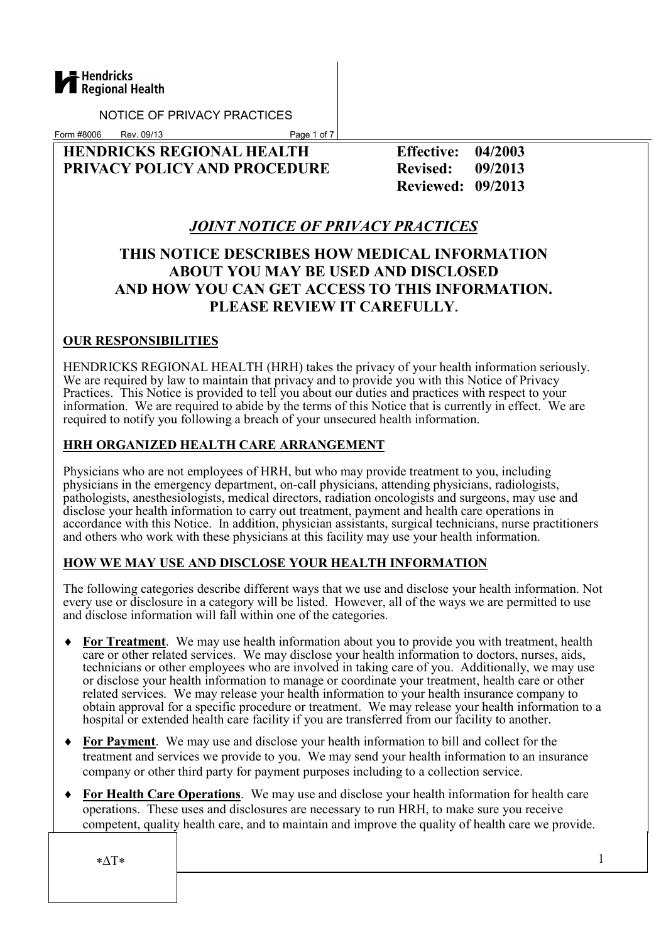

Form #8006 Rev. 09/13 Page 1 of 7

## HENDRICKS REGIONAL HEALTH Effective: 04/2003 PRIVACY POLICY AND PROCEDURE Revised: 09/2013

Reviewed: 09/2013

# JOINT NOTICE OF PRIVACY PRACTICES

# THIS NOTICE DESCRIBES HOW MEDICAL INFORMATION ABOUT YOU MAY BE USED AND DISCLOSED AND HOW YOU CAN GET ACCESS TO THIS INFORMATION. PLEASE REVIEW IT CAREFULLY.

## OUR RESPONSIBILITIES

HENDRICKS REGIONAL HEALTH (HRH) takes the privacy of your health information seriously. We are required by law to maintain that privacy and to provide you with this Notice of Privacy Practices. This Notice is provided to tell you about our duties and practices with respect to your information. We are required to abide by the terms of this Notice that is currently in effect. We are required to notify you following a breach of your unsecured health information.

### HRH ORGANIZED HEALTH CARE ARRANGEMENT

Physicians who are not employees of HRH, but who may provide treatment to you, including physicians in the emergency department, on-call physicians, attending physicians, radiologists, pathologists, anesthesiologists, medical directors, radiation oncologists and surgeons, may use and disclose your health information to carry out treatment, payment and health care operations in accordance with this Notice. In addition, physician assistants, surgical technicians, nurse practitioners and others who work with these physicians at this facility may use your health information.

## HOW WE MAY USE AND DISCLOSE YOUR HEALTH INFORMATION

The following categories describe different ways that we use and disclose your health information. Not every use or disclosure in a category will be listed. However, all of the ways we are permitted to use and disclose information will fall within one of the categories.

- **For Treatment**. We may use health information about you to provide you with treatment, health care or other related services. We may disclose your health information to doctors, nurses, aids, technicians or other employees who are involved in taking care of you. Additionally, we may use or disclose your health information to manage or coordinate your treatment, health care or other related services. We may release your health information to your health insurance company to obtain approval for a specific procedure or treatment. We may release your health information to a hospital or extended health care facility if you are transferred from our facility to another.
- ♦ For Payment. We may use and disclose your health information to bill and collect for the treatment and services we provide to you. We may send your health information to an insurance company or other third party for payment purposes including to a collection service.
- For Health Care Operations. We may use and disclose your health information for health care operations. These uses and disclosures are necessary to run HRH, to make sure you receive competent, quality health care, and to maintain and improve the quality of health care we provide.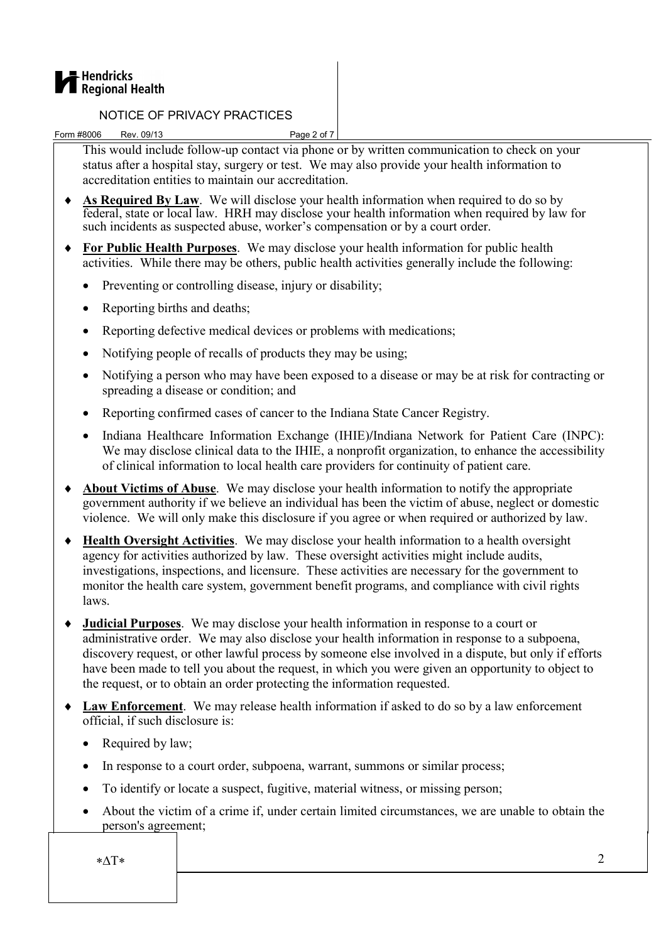

Form #8006 Rev. 09/13 Page 2 of 7

This would include follow-up contact via phone or by written communication to check on your status after a hospital stay, surgery or test. We may also provide your health information to accreditation entities to maintain our accreditation.

- ♦ As Required By Law. We will disclose your health information when required to do so by federal, state or local law. HRH may disclose your health information when required by law for such incidents as suspected abuse, worker's compensation or by a court order.
- ♦ For Public Health Purposes. We may disclose your health information for public health activities. While there may be others, public health activities generally include the following:
	- Preventing or controlling disease, injury or disability;
	- Reporting births and deaths:
	- Reporting defective medical devices or problems with medications:
	- Notifying people of recalls of products they may be using;
	- Notifying a person who may have been exposed to a disease or may be at risk for contracting or spreading a disease or condition; and
	- Reporting confirmed cases of cancer to the Indiana State Cancer Registry.
	- Indiana Healthcare Information Exchange (IHIE)/Indiana Network for Patient Care (INPC): We may disclose clinical data to the IHIE, a nonprofit organization, to enhance the accessibility of clinical information to local health care providers for continuity of patient care.
- ♦ About Victims of Abuse. We may disclose your health information to notify the appropriate government authority if we believe an individual has been the victim of abuse, neglect or domestic violence. We will only make this disclosure if you agree or when required or authorized by law.
- ♦ Health Oversight Activities. We may disclose your health information to a health oversight agency for activities authorized by law. These oversight activities might include audits, investigations, inspections, and licensure. These activities are necessary for the government to monitor the health care system, government benefit programs, and compliance with civil rights laws.
- ♦ Judicial Purposes. We may disclose your health information in response to a court or administrative order. We may also disclose your health information in response to a subpoena, discovery request, or other lawful process by someone else involved in a dispute, but only if efforts have been made to tell you about the request, in which you were given an opportunity to object to the request, or to obtain an order protecting the information requested.
- ♦ Law Enforcement. We may release health information if asked to do so by a law enforcement official, if such disclosure is:
	- Required by law:
	- In response to a court order, subpoena, warrant, summons or similar process;
	- To identify or locate a suspect, fugitive, material witness, or missing person;
	- About the victim of a crime if, under certain limited circumstances, we are unable to obtain the person's agreement;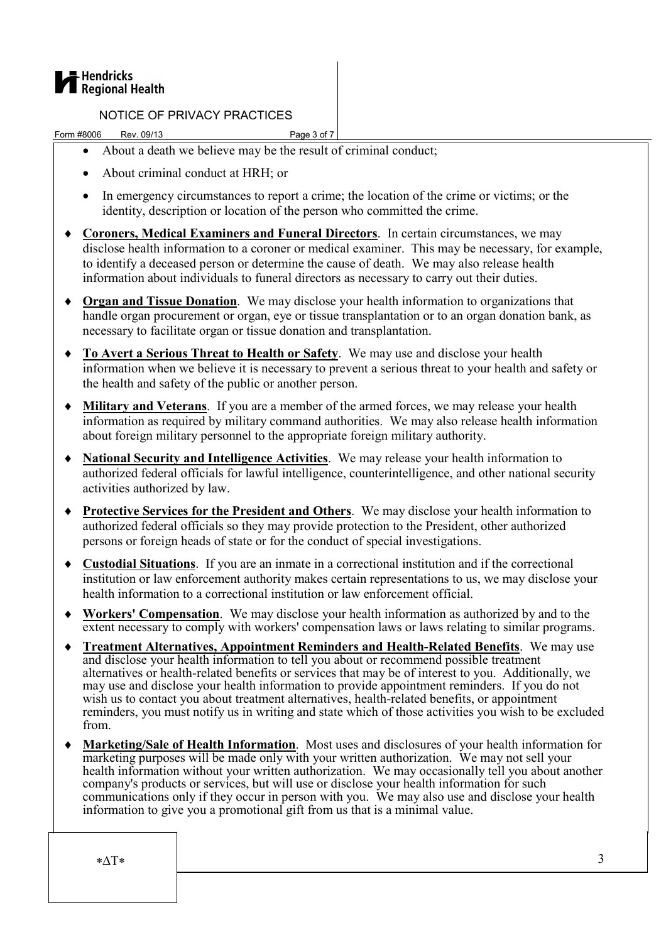

Form #8006 Rev. 09/13 Page 3 of 7

- About a death we believe may be the result of criminal conduct;
- About criminal conduct at HRH; or
- In emergency circumstances to report a crime; the location of the crime or victims; or the identity, description or location of the person who committed the crime.
- ♦ Coroners, Medical Examiners and Funeral Directors. In certain circumstances, we may disclose health information to a coroner or medical examiner. This may be necessary, for example, to identify a deceased person or determine the cause of death. We may also release health information about individuals to funeral directors as necessary to carry out their duties.
- ♦ Organ and Tissue Donation. We may disclose your health information to organizations that handle organ procurement or organ, eye or tissue transplantation or to an organ donation bank, as necessary to facilitate organ or tissue donation and transplantation.
- ♦ To Avert a Serious Threat to Health or Safety. We may use and disclose your health information when we believe it is necessary to prevent a serious threat to your health and safety or the health and safety of the public or another person.
- ♦ Military and Veterans. If you are a member of the armed forces, we may release your health information as required by military command authorities. We may also release health information about foreign military personnel to the appropriate foreign military authority.
- ♦ National Security and Intelligence Activities. We may release your health information to authorized federal officials for lawful intelligence, counterintelligence, and other national security activities authorized by law.
- ♦ Protective Services for the President and Others. We may disclose your health information to authorized federal officials so they may provide protection to the President, other authorized persons or foreign heads of state or for the conduct of special investigations.
- ♦ Custodial Situations. If you are an inmate in a correctional institution and if the correctional institution or law enforcement authority makes certain representations to us, we may disclose your health information to a correctional institution or law enforcement official.
- ♦ Workers' Compensation. We may disclose your health information as authorized by and to the extent necessary to comply with workers' compensation laws or laws relating to similar programs.
- ♦ Treatment Alternatives, Appointment Reminders and Health-Related Benefits. We may use and disclose your health information to tell you about or recommend possible treatment alternatives or health-related benefits or services that may be of interest to you. Additionally, we may use and disclose your health information to provide appointment reminders. If you do not wish us to contact you about treatment alternatives, health-related benefits, or appointment reminders, you must notify us in writing and state which of those activities you wish to be excluded from.
- ♦ Marketing/Sale of Health Information. Most uses and disclosures of your health information for marketing purposes will be made only with your written authorization. We may not sell your health information without your written authorization. We may occasionally tell you about another company's products or services, but will use or disclose your health information for such company's products of services, our win also or disclose your health communications only if they occur in person with you. We may also use and disclose your health information to give you a promotional gift from us that is a minimal value.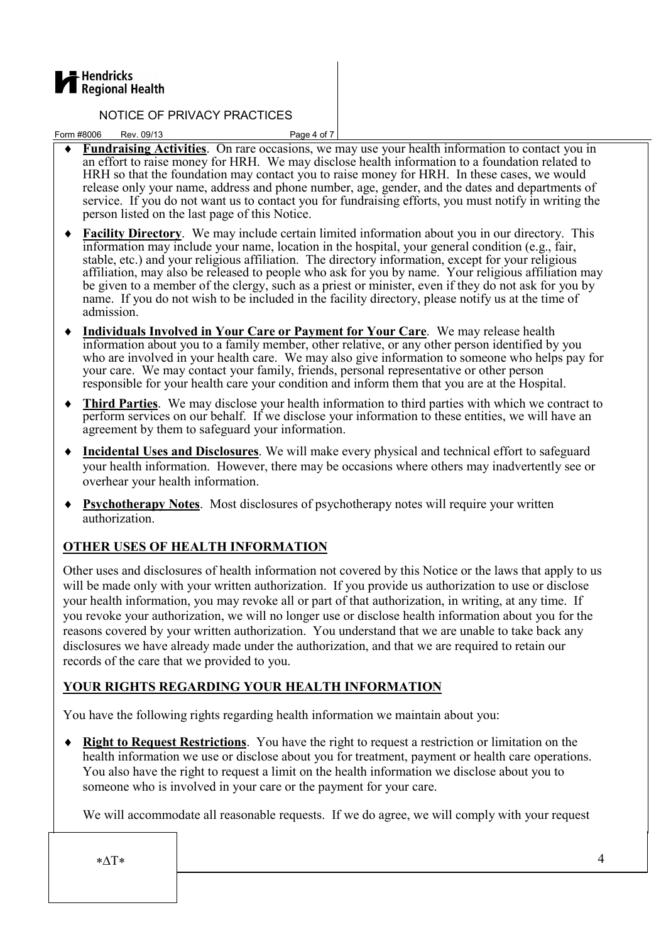

Form #8006 Rev. 09/13 Page 4 of 7

- Fundraising Activities. On rare occasions, we may use your health information to contact you in an effort to raise money for HRH. We may disclose health information to a foundation related to HRH so that the foundation may contact you to raise money for HRH. In these cases, we would release only your name, address and phone number, age, gender, and the dates and departments of service. If you do not want us to contact you for fundraising efforts, you must notify in writing the person listed on the last page of this Notice.
- ♦ Facility Directory. We may include certain limited information about you in our directory. This information may include your name, location in the hospital, your general condition (e.g., fair, stable, etc.) and your religious affiliation. The directory information, except for your religious affiliation, may also be released to people who ask for you by name. Your religious affiliation may be given to a member of the clergy, such as a priest or minister, even if they do not ask for you by name. If you do not wish to be included in the facility directory, please notify us at the time of admission.
- ♦ Individuals Involved in Your Care or Payment for Your Care. We may release health information about you to a family member, other relative, or any other person identified by you who are involved in your health care. We may also give information to someone who helps pay for your care. We may contact your family, friends, personal representative or other person responsible for your health care your condition and inform them that you are at the Hospital.
- ♦ Third Parties. We may disclose your health information to third parties with which we contract to perform services on our behalf. If we disclose your information to these entities, we will have an agreement by them to safeguard your information.
- ♦ Incidental Uses and Disclosures. We will make every physical and technical effort to safeguard your health information. However, there may be occasions where others may inadvertently see or overhear your health information.
- ♦ Psychotherapy Notes. Most disclosures of psychotherapy notes will require your written authorization.

## OTHER USES OF HEALTH INFORMATION

Other uses and disclosures of health information not covered by this Notice or the laws that apply to us will be made only with your written authorization. If you provide us authorization to use or disclose your health information, you may revoke all or part of that authorization, in writing, at any time. If you revoke your authorization, we will no longer use or disclose health information about you for the reasons covered by your written authorization. You understand that we are unable to take back any disclosures we have already made under the authorization, and that we are required to retain our records of the care that we provided to you.

## YOUR RIGHTS REGARDING YOUR HEALTH INFORMATION

You have the following rights regarding health information we maintain about you:

♦ Right to Request Restrictions. You have the right to request a restriction or limitation on the health information we use or disclose about you for treatment, payment or health care operations. You also have the right to request a limit on the health information we disclose about you to someone who is involved in your care or the payment for your care.

We will accommodate all reasonable requests. If we do agree, we will comply with your request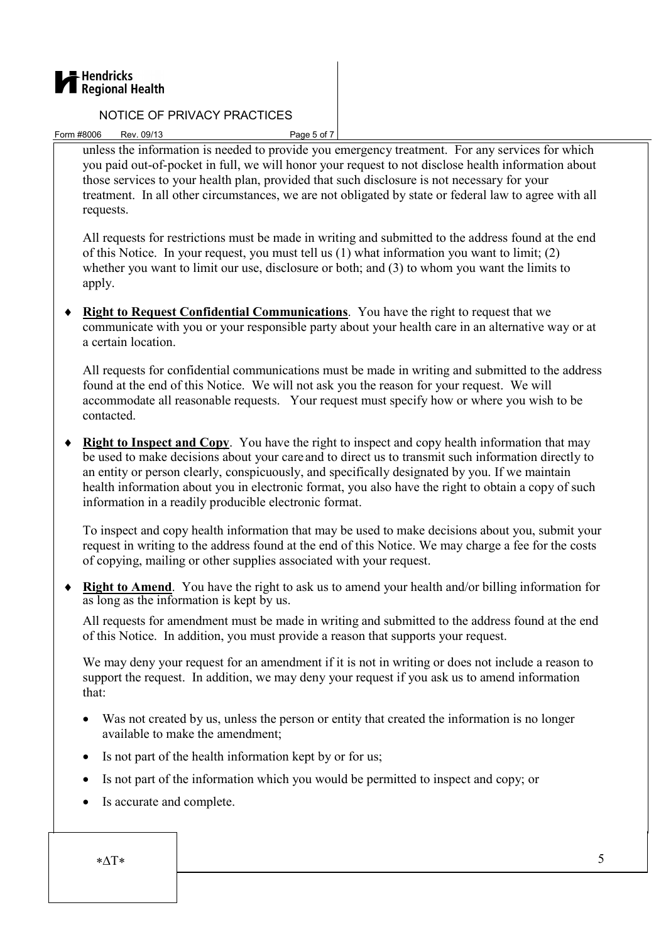

Form #8006 Rev. 09/13 Page 5 of 7

unless the information is needed to provide you emergency treatment. For any services for which you paid out-of-pocket in full, we will honor your request to not disclose health information about those services to your health plan, provided that such disclosure is not necessary for your treatment. In all other circumstances, we are not obligated by state or federal law to agree with all requests.

All requests for restrictions must be made in writing and submitted to the address found at the end of this Notice. In your request, you must tell us (1) what information you want to limit; (2) whether you want to limit our use, disclosure or both; and (3) to whom you want the limits to apply.

♦ Right to Request Confidential Communications. You have the right to request that we communicate with you or your responsible party about your health care in an alternative way or at a certain location.

All requests for confidential communications must be made in writing and submitted to the address found at the end of this Notice. We will not ask you the reason for your request. We will accommodate all reasonable requests. Your request must specify how or where you wish to be contacted.

♦ Right to Inspect and Copy. You have the right to inspect and copy health information that may be used to make decisions about your care and to direct us to transmit such information directly to an entity or person clearly, conspicuously, and specifically designated by you. If we maintain health information about you in electronic format, you also have the right to obtain a copy of such information in a readily producible electronic format.

To inspect and copy health information that may be used to make decisions about you, submit your request in writing to the address found at the end of this Notice. We may charge a fee for the costs of copying, mailing or other supplies associated with your request.

♦ Right to Amend. You have the right to ask us to amend your health and/or billing information for as long as the information is kept by us.

All requests for amendment must be made in writing and submitted to the address found at the end of this Notice. In addition, you must provide a reason that supports your request.

We may deny your request for an amendment if it is not in writing or does not include a reason to support the request. In addition, we may deny your request if you ask us to amend information that:

- Was not created by us, unless the person or entity that created the information is no longer available to make the amendment;
- Is not part of the health information kept by or for us;
- Is not part of the information which you would be permitted to inspect and copy; or
- Is accurate and complete.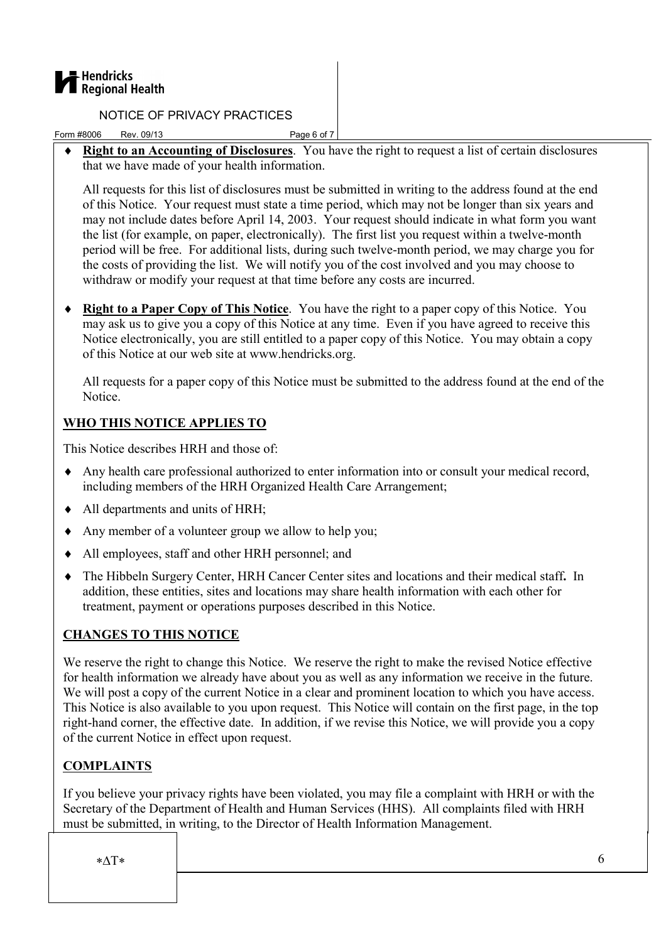

Form #8006 Rev. 09/13 Page 6 of 7

♦ Right to an Accounting of Disclosures. You have the right to request a list of certain disclosures that we have made of your health information.

All requests for this list of disclosures must be submitted in writing to the address found at the end of this Notice. Your request must state a time period, which may not be longer than six years and may not include dates before April 14, 2003. Your request should indicate in what form you want the list (for example, on paper, electronically). The first list you request within a twelve-month period will be free. For additional lists, during such twelve-month period, we may charge you for the costs of providing the list. We will notify you of the cost involved and you may choose to withdraw or modify your request at that time before any costs are incurred.

• Right to a Paper Copy of This Notice. You have the right to a paper copy of this Notice. You may ask us to give you a copy of this Notice at any time. Even if you have agreed to receive this Notice electronically, you are still entitled to a paper copy of this Notice. You may obtain a copy of this Notice at our web site at www.hendricks.org.

All requests for a paper copy of this Notice must be submitted to the address found at the end of the Notice.

## WHO THIS NOTICE APPLIES TO

This Notice describes HRH and those of:

- ♦ Any health care professional authorized to enter information into or consult your medical record, including members of the HRH Organized Health Care Arrangement;
- ♦ All departments and units of HRH;
- ♦ Any member of a volunteer group we allow to help you;
- ♦ All employees, staff and other HRH personnel; and
- ♦ The Hibbeln Surgery Center, HRH Cancer Center sites and locations and their medical staff. In addition, these entities, sites and locations may share health information with each other for treatment, payment or operations purposes described in this Notice.

## CHANGES TO THIS NOTICE

We reserve the right to change this Notice. We reserve the right to make the revised Notice effective for health information we already have about you as well as any information we receive in the future. We will post a copy of the current Notice in a clear and prominent location to which you have access. This Notice is also available to you upon request. This Notice will contain on the first page, in the top right-hand corner, the effective date. In addition, if we revise this Notice, we will provide you a copy of the current Notice in effect upon request.

## COMPLAINTS

If you believe your privacy rights have been violated, you may file a complaint with HRH or with the Secretary of the Department of Health and Human Services (HHS). All complaints filed with HRH must be submitted, in writing, to the Director of Health Information Management.